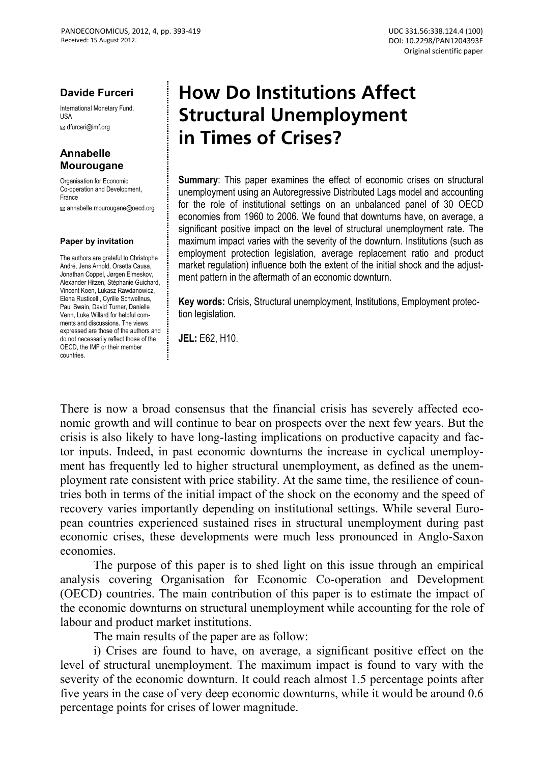#### **Davide Furceri**

International Monetary Fund, USA

dfurceri@imf.org

### **Annabelle Mourougane**

Organisation for Economic Co-operation and Development, France

annabelle.mourougane@oecd.org

#### **Paper by invitation**

The authors are grateful to Christophe André, Jens Arnold, Orsetta Causa, Jonathan Coppel, Jørgen Elmeskov, Alexander Hitzen, Stéphanie Guichard, Vincent Koen, Lukasz Rawdanowicz, Elena Rusticelli, Cyrille Schwellnus, Paul Swain, David Turner, Danielle Venn, Luke Willard for helpful comments and discussions. The views expressed are those of the authors and do not necessarily reflect those of the OECD, the IMF or their member countries.

# **How Do Institutions Affect Structural Unemployment in Times of Crises?**

**Summary:** This paper examines the effect of economic crises on structural unemployment using an Autoregressive Distributed Lags model and accounting for the role of institutional settings on an unbalanced panel of 30 OECD economies from 1960 to 2006. We found that downturns have, on average, a significant positive impact on the level of structural unemployment rate. The maximum impact varies with the severity of the downturn. Institutions (such as employment protection legislation, average replacement ratio and product market regulation) influence both the extent of the initial shock and the adjustment pattern in the aftermath of an economic downturn.

**Key words:** Crisis, Structural unemployment, Institutions, Employment protection legislation.

**JEL:** E62, H10.

There is now a broad consensus that the financial crisis has severely affected economic growth and will continue to bear on prospects over the next few years. But the crisis is also likely to have long-lasting implications on productive capacity and factor inputs. Indeed, in past economic downturns the increase in cyclical unemployment has frequently led to higher structural unemployment, as defined as the unemployment rate consistent with price stability. At the same time, the resilience of countries both in terms of the initial impact of the shock on the economy and the speed of recovery varies importantly depending on institutional settings. While several European countries experienced sustained rises in structural unemployment during past economic crises, these developments were much less pronounced in Anglo-Saxon economies.

The purpose of this paper is to shed light on this issue through an empirical analysis covering Organisation for Economic Co-operation and Development (OECD) countries. The main contribution of this paper is to estimate the impact of the economic downturns on structural unemployment while accounting for the role of labour and product market institutions.

The main results of the paper are as follow:

i) Crises are found to have, on average, a significant positive effect on the level of structural unemployment. The maximum impact is found to vary with the severity of the economic downturn. It could reach almost 1.5 percentage points after five years in the case of very deep economic downturns, while it would be around 0.6 percentage points for crises of lower magnitude.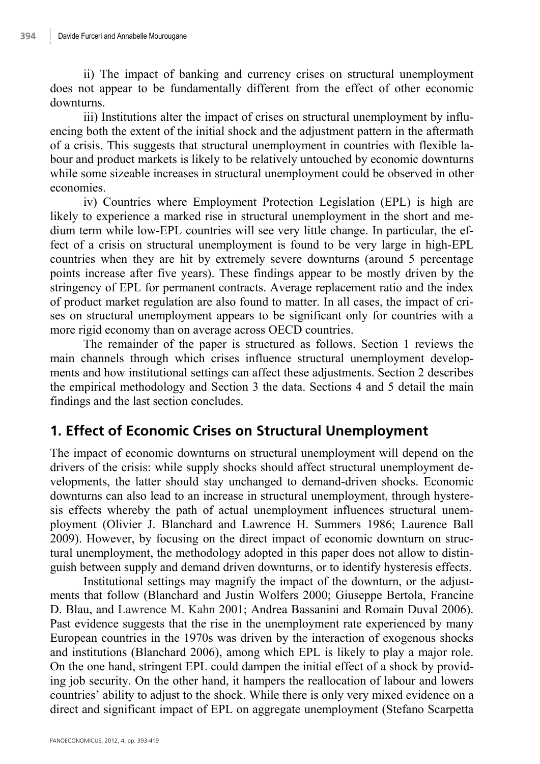ii) The impact of banking and currency crises on structural unemployment does not appear to be fundamentally different from the effect of other economic downturns.

iii) Institutions alter the impact of crises on structural unemployment by influencing both the extent of the initial shock and the adjustment pattern in the aftermath of a crisis. This suggests that structural unemployment in countries with flexible labour and product markets is likely to be relatively untouched by economic downturns while some sizeable increases in structural unemployment could be observed in other economies.

iv) Countries where Employment Protection Legislation (EPL) is high are likely to experience a marked rise in structural unemployment in the short and medium term while low-EPL countries will see very little change. In particular, the effect of a crisis on structural unemployment is found to be very large in high-EPL countries when they are hit by extremely severe downturns (around 5 percentage points increase after five years). These findings appear to be mostly driven by the stringency of EPL for permanent contracts. Average replacement ratio and the index of product market regulation are also found to matter. In all cases, the impact of crises on structural unemployment appears to be significant only for countries with a more rigid economy than on average across OECD countries.

The remainder of the paper is structured as follows. Section 1 reviews the main channels through which crises influence structural unemployment developments and how institutional settings can affect these adjustments. Section 2 describes the empirical methodology and Section 3 the data. Sections 4 and 5 detail the main findings and the last section concludes.

### **1. Effect of Economic Crises on Structural Unemployment**

The impact of economic downturns on structural unemployment will depend on the drivers of the crisis: while supply shocks should affect structural unemployment developments, the latter should stay unchanged to demand-driven shocks. Economic downturns can also lead to an increase in structural unemployment, through hysteresis effects whereby the path of actual unemployment influences structural unemployment (Olivier J. Blanchard and Lawrence H. Summers 1986; Laurence Ball 2009). However, by focusing on the direct impact of economic downturn on structural unemployment, the methodology adopted in this paper does not allow to distinguish between supply and demand driven downturns, or to identify hysteresis effects.

Institutional settings may magnify the impact of the downturn, or the adjustments that follow (Blanchard and Justin Wolfers 2000; Giuseppe Bertola, Francine D. Blau, and Lawrence M. Kahn 2001; Andrea Bassanini and Romain Duval 2006). Past evidence suggests that the rise in the unemployment rate experienced by many European countries in the 1970s was driven by the interaction of exogenous shocks and institutions (Blanchard 2006), among which EPL is likely to play a major role. On the one hand, stringent EPL could dampen the initial effect of a shock by providing job security. On the other hand, it hampers the reallocation of labour and lowers countries' ability to adjust to the shock. While there is only very mixed evidence on a direct and significant impact of EPL on aggregate unemployment (Stefano Scarpetta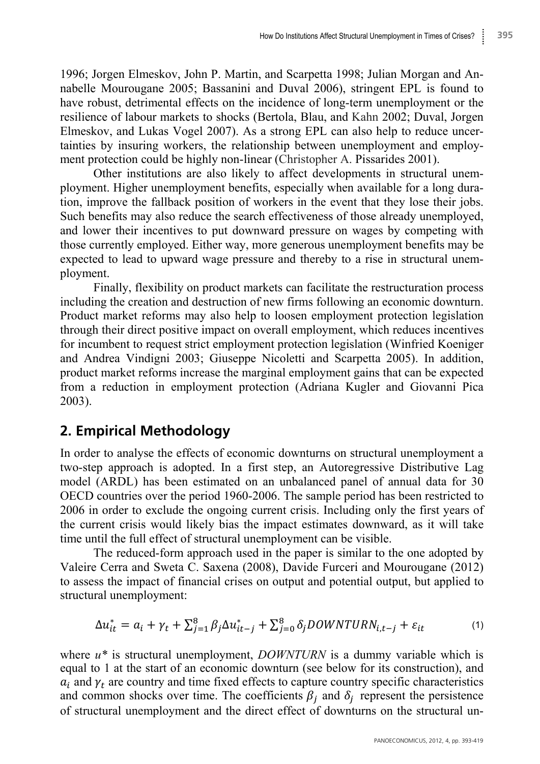1996; Jorgen Elmeskov, John P. Martin, and Scarpetta 1998; Julian Morgan and Annabelle Mourougane 2005; Bassanini and Duval 2006), stringent EPL is found to have robust, detrimental effects on the incidence of long-term unemployment or the resilience of labour markets to shocks (Bertola, Blau, and Kahn 2002; Duval, Jorgen Elmeskov, and Lukas Vogel 2007). As a strong EPL can also help to reduce uncertainties by insuring workers, the relationship between unemployment and employment protection could be highly non-linear (Christopher A. Pissarides 2001).

Other institutions are also likely to affect developments in structural unemployment. Higher unemployment benefits, especially when available for a long duration, improve the fallback position of workers in the event that they lose their jobs. Such benefits may also reduce the search effectiveness of those already unemployed, and lower their incentives to put downward pressure on wages by competing with those currently employed. Either way, more generous unemployment benefits may be expected to lead to upward wage pressure and thereby to a rise in structural unemployment.

Finally, flexibility on product markets can facilitate the restructuration process including the creation and destruction of new firms following an economic downturn. Product market reforms may also help to loosen employment protection legislation through their direct positive impact on overall employment, which reduces incentives for incumbent to request strict employment protection legislation (Winfried Koeniger and Andrea Vindigni 2003; Giuseppe Nicoletti and Scarpetta 2005). In addition, product market reforms increase the marginal employment gains that can be expected from a reduction in employment protection (Adriana Kugler and Giovanni Pica 2003).

### **2. Empirical Methodology**

In order to analyse the effects of economic downturns on structural unemployment a two-step approach is adopted. In a first step, an Autoregressive Distributive Lag model (ARDL) has been estimated on an unbalanced panel of annual data for 30 OECD countries over the period 1960-2006. The sample period has been restricted to 2006 in order to exclude the ongoing current crisis. Including only the first years of the current crisis would likely bias the impact estimates downward, as it will take time until the full effect of structural unemployment can be visible.

The reduced-form approach used in the paper is similar to the one adopted by Valeire Cerra and Sweta C. Saxena (2008), Davide Furceri and Mourougane (2012) to assess the impact of financial crises on output and potential output, but applied to structural unemployment:

$$
\Delta u_{it}^* = a_i + \gamma_t + \sum_{j=1}^8 \beta_j \Delta u_{it-j}^* + \sum_{j=0}^8 \delta_j DOWNTURN_{i,t-j} + \varepsilon_{it}
$$
 (1)

where *u\** is structural unemployment, *DOWNTURN* is a dummy variable which is equal to 1 at the start of an economic downturn (see below for its construction), and  $a_i$  and  $\gamma_t$  are country and time fixed effects to capture country specific characteristics and common shocks over time. The coefficients  $\beta_i$  and  $\delta_i$  represent the persistence of structural unemployment and the direct effect of downturns on the structural un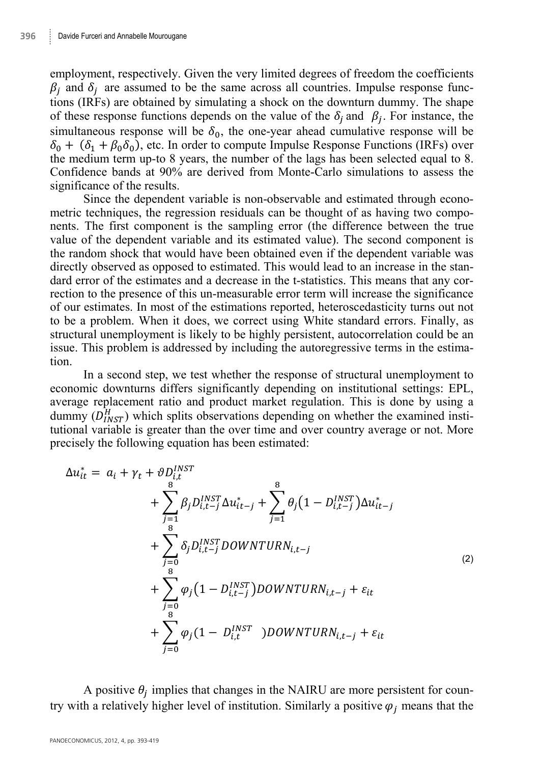employment, respectively. Given the very limited degrees of freedom the coefficients  $\beta_i$  and  $\delta_i$  are assumed to be the same across all countries. Impulse response functions (IRFs) are obtained by simulating a shock on the downturn dummy. The shape of these response functions depends on the value of the  $\delta_i$  and  $\beta_i$ . For instance, the simultaneous response will be  $\delta_0$ , the one-year ahead cumulative response will be  $\delta_0 + (\delta_1 + \beta_0 \delta_0)$ , etc. In order to compute Impulse Response Functions (IRFs) over the medium term up-to 8 years, the number of the lags has been selected equal to 8. Confidence bands at 90% are derived from Monte-Carlo simulations to assess the significance of the results.

Since the dependent variable is non-observable and estimated through econometric techniques, the regression residuals can be thought of as having two components. The first component is the sampling error (the difference between the true value of the dependent variable and its estimated value). The second component is the random shock that would have been obtained even if the dependent variable was directly observed as opposed to estimated. This would lead to an increase in the standard error of the estimates and a decrease in the t-statistics. This means that any correction to the presence of this un-measurable error term will increase the significance of our estimates. In most of the estimations reported, heteroscedasticity turns out not to be a problem. When it does, we correct using White standard errors. Finally, as structural unemployment is likely to be highly persistent, autocorrelation could be an issue. This problem is addressed by including the autoregressive terms in the estimation.

In a second step, we test whether the response of structural unemployment to economic downturns differs significantly depending on institutional settings: EPL, average replacement ratio and product market regulation. This is done by using a dummy  $(D_{INST}^H)$  which splits observations depending on whether the examined institutional variable is greater than the over time and over country average or not. More precisely the following equation has been estimated:

$$
\Delta u_{it}^{*} = a_{i} + \gamma_{t} + \vartheta D_{i,t}^{INST} \n+ \sum_{j=1}^{8} \beta_{j} D_{i,t-j}^{INST} \Delta u_{it-j}^{*} + \sum_{j=1}^{8} \theta_{j} (1 - D_{i,t-j}^{INST}) \Delta u_{it-j}^{*} \n+ \sum_{j=0}^{8} \delta_{j} D_{i,t-j}^{INST} DOWNTURN_{i,t-j} \n+ \sum_{j=0}^{8} \varphi_{j} (1 - D_{i,t-j}^{INST}) DOWNTURN_{i,t-j} + \varepsilon_{it} \n+ \sum_{j=0}^{8} \varphi_{j} (1 - D_{i,t}^{INST}) DOWNTURN_{i,t-j} + \varepsilon_{it}
$$
\n(2)

A positive  $\theta_i$  implies that changes in the NAIRU are more persistent for country with a relatively higher level of institution. Similarly a positive  $\varphi_i$  means that the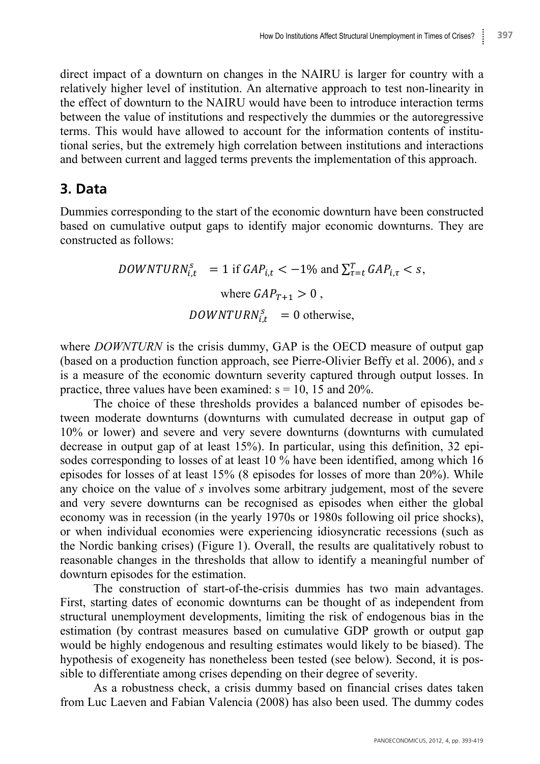direct impact of a downturn on changes in the NAIRU is larger for country with a relatively higher level of institution. An alternative approach to test non-linearity in the effect of downturn to the NAIRU would have been to introduce interaction terms between the value of institutions and respectively the dummies or the autoregressive terms. This would have allowed to account for the information contents of institutional series, but the extremely high correlation between institutions and interactions and between current and lagged terms prevents the implementation of this approach.

### **3. Data**

Dummies corresponding to the start of the economic downturn have been constructed based on cumulative output gaps to identify major economic downturns. They are constructed as follows:

> $DOWNTURN_{i,t}^s = 1$  if  $GAP_{i,t} < -1\%$  and  $\sum_{\tau=t}^{T} GAP_{i,\tau} < s$ , where  $GAP_{T+1} > 0$ .  $DOWN TURN_{i,t}^s = 0$  otherwise,

where *DOWNTURN* is the crisis dummy, GAP is the OECD measure of output gap (based on a production function approach, see Pierre-Olivier Beffy et al. 2006), and *s* is a measure of the economic downturn severity captured through output losses. In practice, three values have been examined:  $s = 10$ , 15 and 20%.

The choice of these thresholds provides a balanced number of episodes between moderate downturns (downturns with cumulated decrease in output gap of 10% or lower) and severe and very severe downturns (downturns with cumulated decrease in output gap of at least 15%). In particular, using this definition, 32 episodes corresponding to losses of at least 10 % have been identified, among which 16 episodes for losses of at least 15% (8 episodes for losses of more than 20%). While any choice on the value of *s* involves some arbitrary judgement, most of the severe and very severe downturns can be recognised as episodes when either the global economy was in recession (in the yearly 1970s or 1980s following oil price shocks), or when individual economies were experiencing idiosyncratic recessions (such as the Nordic banking crises) (Figure 1). Overall, the results are qualitatively robust to reasonable changes in the thresholds that allow to identify a meaningful number of downturn episodes for the estimation.

The construction of start-of-the-crisis dummies has two main advantages. First, starting dates of economic downturns can be thought of as independent from structural unemployment developments, limiting the risk of endogenous bias in the estimation (by contrast measures based on cumulative GDP growth or output gap would be highly endogenous and resulting estimates would likely to be biased). The hypothesis of exogeneity has nonetheless been tested (see below). Second, it is possible to differentiate among crises depending on their degree of severity.

As a robustness check, a crisis dummy based on financial crises dates taken from Luc Laeven and Fabian Valencia (2008) has also been used. The dummy codes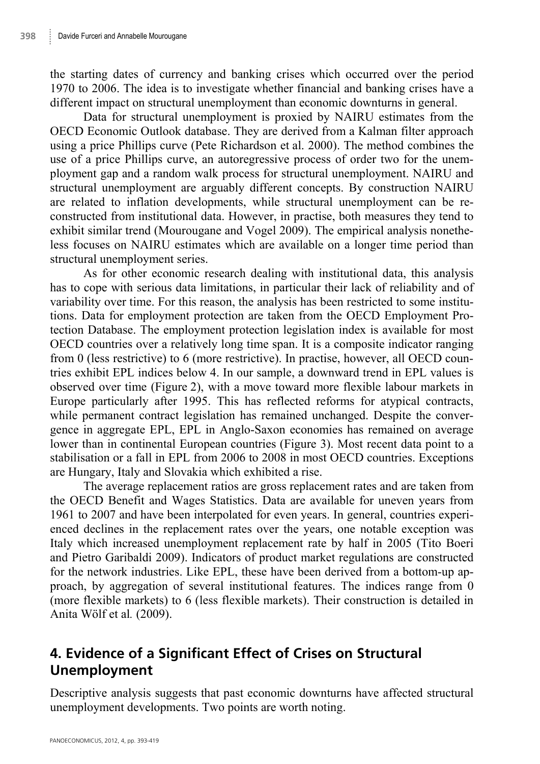the starting dates of currency and banking crises which occurred over the period 1970 to 2006. The idea is to investigate whether financial and banking crises have a different impact on structural unemployment than economic downturns in general.

Data for structural unemployment is proxied by NAIRU estimates from the OECD Economic Outlook database. They are derived from a Kalman filter approach using a price Phillips curve (Pete Richardson et al. 2000). The method combines the use of a price Phillips curve, an autoregressive process of order two for the unemployment gap and a random walk process for structural unemployment. NAIRU and structural unemployment are arguably different concepts. By construction NAIRU are related to inflation developments, while structural unemployment can be reconstructed from institutional data. However, in practise, both measures they tend to exhibit similar trend (Mourougane and Vogel 2009). The empirical analysis nonetheless focuses on NAIRU estimates which are available on a longer time period than structural unemployment series.

As for other economic research dealing with institutional data, this analysis has to cope with serious data limitations, in particular their lack of reliability and of variability over time. For this reason, the analysis has been restricted to some institutions. Data for employment protection are taken from the OECD Employment Protection Database. The employment protection legislation index is available for most OECD countries over a relatively long time span. It is a composite indicator ranging from 0 (less restrictive) to 6 (more restrictive). In practise, however, all OECD countries exhibit EPL indices below 4. In our sample, a downward trend in EPL values is observed over time (Figure 2), with a move toward more flexible labour markets in Europe particularly after 1995. This has reflected reforms for atypical contracts, while permanent contract legislation has remained unchanged. Despite the convergence in aggregate EPL, EPL in Anglo-Saxon economies has remained on average lower than in continental European countries (Figure 3). Most recent data point to a stabilisation or a fall in EPL from 2006 to 2008 in most OECD countries. Exceptions are Hungary, Italy and Slovakia which exhibited a rise.

The average replacement ratios are gross replacement rates and are taken from the OECD Benefit and Wages Statistics. Data are available for uneven years from 1961 to 2007 and have been interpolated for even years. In general, countries experienced declines in the replacement rates over the years, one notable exception was Italy which increased unemployment replacement rate by half in 2005 (Tito Boeri and Pietro Garibaldi 2009). Indicators of product market regulations are constructed for the network industries. Like EPL, these have been derived from a bottom-up approach, by aggregation of several institutional features. The indices range from 0 (more flexible markets) to 6 (less flexible markets). Their construction is detailed in Anita Wölf et al*.* (2009).

### **4. Evidence of a Significant Effect of Crises on Structural Unemployment**

Descriptive analysis suggests that past economic downturns have affected structural unemployment developments. Two points are worth noting.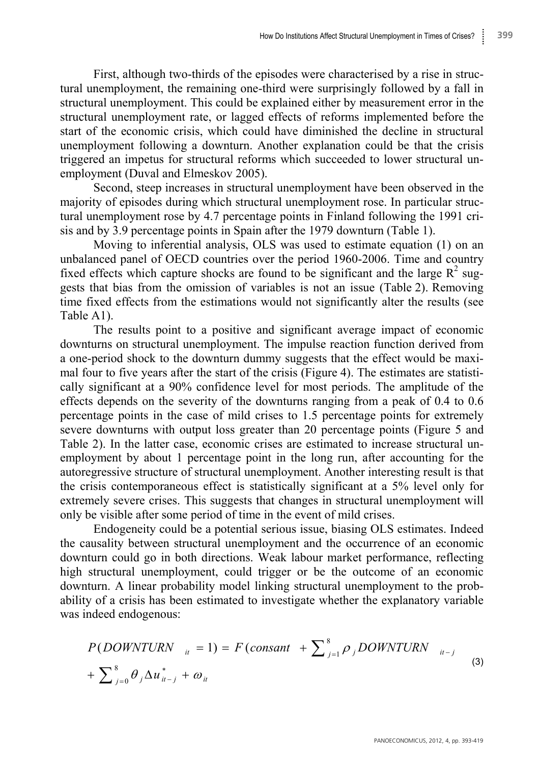First, although two-thirds of the episodes were characterised by a rise in structural unemployment, the remaining one-third were surprisingly followed by a fall in structural unemployment. This could be explained either by measurement error in the structural unemployment rate, or lagged effects of reforms implemented before the start of the economic crisis, which could have diminished the decline in structural unemployment following a downturn. Another explanation could be that the crisis triggered an impetus for structural reforms which succeeded to lower structural unemployment (Duval and Elmeskov 2005).

Second, steep increases in structural unemployment have been observed in the majority of episodes during which structural unemployment rose. In particular structural unemployment rose by 4.7 percentage points in Finland following the 1991 crisis and by 3.9 percentage points in Spain after the 1979 downturn (Table 1).

Moving to inferential analysis, OLS was used to estimate equation (1) on an unbalanced panel of OECD countries over the period 1960-2006. Time and country fixed effects which capture shocks are found to be significant and the large  $R^2$  suggests that bias from the omission of variables is not an issue (Table 2). Removing time fixed effects from the estimations would not significantly alter the results (see Table A1).

The results point to a positive and significant average impact of economic downturns on structural unemployment. The impulse reaction function derived from a one-period shock to the downturn dummy suggests that the effect would be maximal four to five years after the start of the crisis (Figure 4). The estimates are statistically significant at a 90% confidence level for most periods. The amplitude of the effects depends on the severity of the downturns ranging from a peak of 0.4 to 0.6 percentage points in the case of mild crises to 1.5 percentage points for extremely severe downturns with output loss greater than 20 percentage points (Figure 5 and Table 2). In the latter case, economic crises are estimated to increase structural unemployment by about 1 percentage point in the long run, after accounting for the autoregressive structure of structural unemployment. Another interesting result is that the crisis contemporaneous effect is statistically significant at a 5% level only for extremely severe crises. This suggests that changes in structural unemployment will only be visible after some period of time in the event of mild crises.

Endogeneity could be a potential serious issue, biasing OLS estimates. Indeed the causality between structural unemployment and the occurrence of an economic downturn could go in both directions. Weak labour market performance, reflecting high structural unemployment, could trigger or be the outcome of an economic downturn. A linear probability model linking structural unemployment to the probability of a crisis has been estimated to investigate whether the explanatory variable was indeed endogenous:

$$
P(DOWNTURN_{ii} = 1) = F(constant + \sum_{j=1}^{8} \rho_j DOWNTURN_{ii-j}
$$
  
+ 
$$
\sum_{j=0}^{8} \theta_j \Delta u_{ii-j}^* + \omega_{ii}
$$
 (3)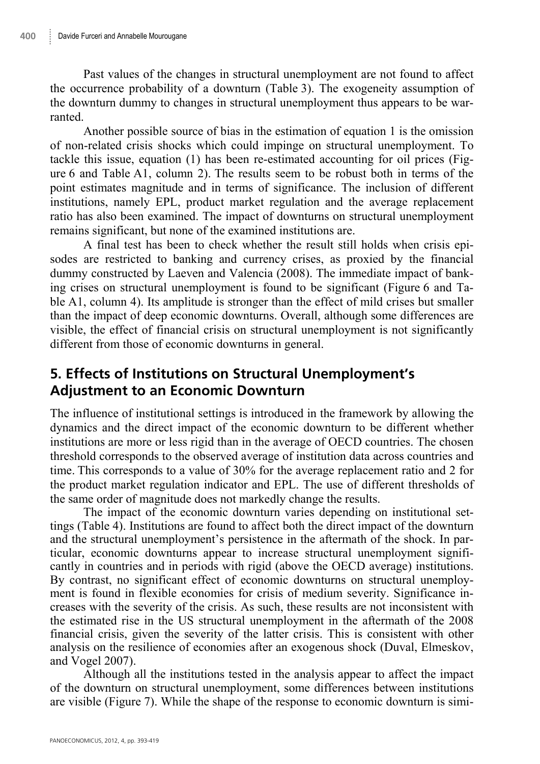Past values of the changes in structural unemployment are not found to affect the occurrence probability of a downturn (Table 3). The exogeneity assumption of the downturn dummy to changes in structural unemployment thus appears to be warranted.

Another possible source of bias in the estimation of equation 1 is the omission of non-related crisis shocks which could impinge on structural unemployment. To tackle this issue, equation (1) has been re-estimated accounting for oil prices (Figure 6 and Table A1, column 2). The results seem to be robust both in terms of the point estimates magnitude and in terms of significance. The inclusion of different institutions, namely EPL, product market regulation and the average replacement ratio has also been examined. The impact of downturns on structural unemployment remains significant, but none of the examined institutions are.

A final test has been to check whether the result still holds when crisis episodes are restricted to banking and currency crises, as proxied by the financial dummy constructed by Laeven and Valencia (2008). The immediate impact of banking crises on structural unemployment is found to be significant (Figure 6 and Table A1, column 4). Its amplitude is stronger than the effect of mild crises but smaller than the impact of deep economic downturns. Overall, although some differences are visible, the effect of financial crisis on structural unemployment is not significantly different from those of economic downturns in general.

### **5. Effects of Institutions on Structural Unemployment's Adjustment to an Economic Downturn**

The influence of institutional settings is introduced in the framework by allowing the dynamics and the direct impact of the economic downturn to be different whether institutions are more or less rigid than in the average of OECD countries. The chosen threshold corresponds to the observed average of institution data across countries and time. This corresponds to a value of 30% for the average replacement ratio and 2 for the product market regulation indicator and EPL. The use of different thresholds of the same order of magnitude does not markedly change the results.

The impact of the economic downturn varies depending on institutional settings (Table 4). Institutions are found to affect both the direct impact of the downturn and the structural unemployment's persistence in the aftermath of the shock. In particular, economic downturns appear to increase structural unemployment significantly in countries and in periods with rigid (above the OECD average) institutions. By contrast, no significant effect of economic downturns on structural unemployment is found in flexible economies for crisis of medium severity. Significance increases with the severity of the crisis. As such, these results are not inconsistent with the estimated rise in the US structural unemployment in the aftermath of the 2008 financial crisis, given the severity of the latter crisis. This is consistent with other analysis on the resilience of economies after an exogenous shock (Duval, Elmeskov, and Vogel 2007).

Although all the institutions tested in the analysis appear to affect the impact of the downturn on structural unemployment, some differences between institutions are visible (Figure 7). While the shape of the response to economic downturn is simi-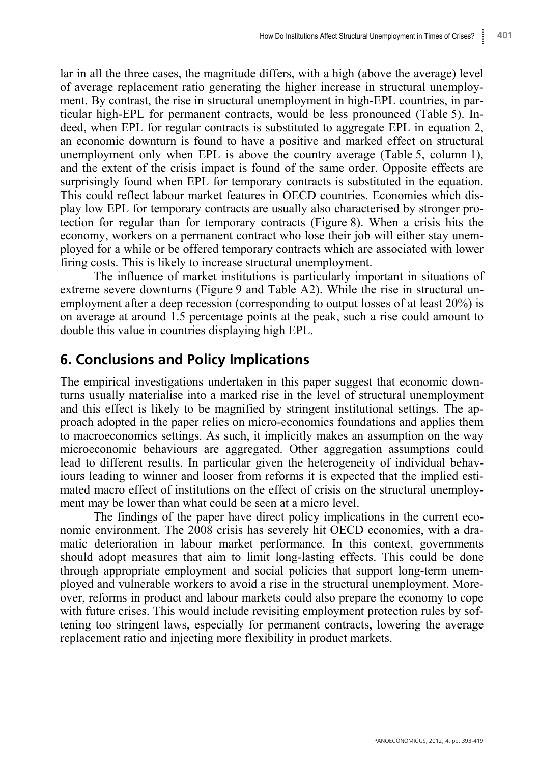lar in all the three cases, the magnitude differs, with a high (above the average) level of average replacement ratio generating the higher increase in structural unemployment. By contrast, the rise in structural unemployment in high-EPL countries, in particular high-EPL for permanent contracts, would be less pronounced (Table 5). Indeed, when EPL for regular contracts is substituted to aggregate EPL in equation 2, an economic downturn is found to have a positive and marked effect on structural unemployment only when EPL is above the country average (Table 5, column 1), and the extent of the crisis impact is found of the same order. Opposite effects are surprisingly found when EPL for temporary contracts is substituted in the equation. This could reflect labour market features in OECD countries. Economies which display low EPL for temporary contracts are usually also characterised by stronger protection for regular than for temporary contracts (Figure 8). When a crisis hits the economy, workers on a permanent contract who lose their job will either stay unemployed for a while or be offered temporary contracts which are associated with lower firing costs. This is likely to increase structural unemployment.

The influence of market institutions is particularly important in situations of extreme severe downturns (Figure 9 and Table A2). While the rise in structural unemployment after a deep recession (corresponding to output losses of at least 20%) is on average at around 1.5 percentage points at the peak, such a rise could amount to double this value in countries displaying high EPL.

### **6. Conclusions and Policy Implications**

The empirical investigations undertaken in this paper suggest that economic downturns usually materialise into a marked rise in the level of structural unemployment and this effect is likely to be magnified by stringent institutional settings. The approach adopted in the paper relies on micro-economics foundations and applies them to macroeconomics settings. As such, it implicitly makes an assumption on the way microeconomic behaviours are aggregated. Other aggregation assumptions could lead to different results. In particular given the heterogeneity of individual behaviours leading to winner and looser from reforms it is expected that the implied estimated macro effect of institutions on the effect of crisis on the structural unemployment may be lower than what could be seen at a micro level.

The findings of the paper have direct policy implications in the current economic environment. The 2008 crisis has severely hit OECD economies, with a dramatic deterioration in labour market performance. In this context, governments should adopt measures that aim to limit long-lasting effects. This could be done through appropriate employment and social policies that support long-term unemployed and vulnerable workers to avoid a rise in the structural unemployment. Moreover, reforms in product and labour markets could also prepare the economy to cope with future crises. This would include revisiting employment protection rules by softening too stringent laws, especially for permanent contracts, lowering the average replacement ratio and injecting more flexibility in product markets.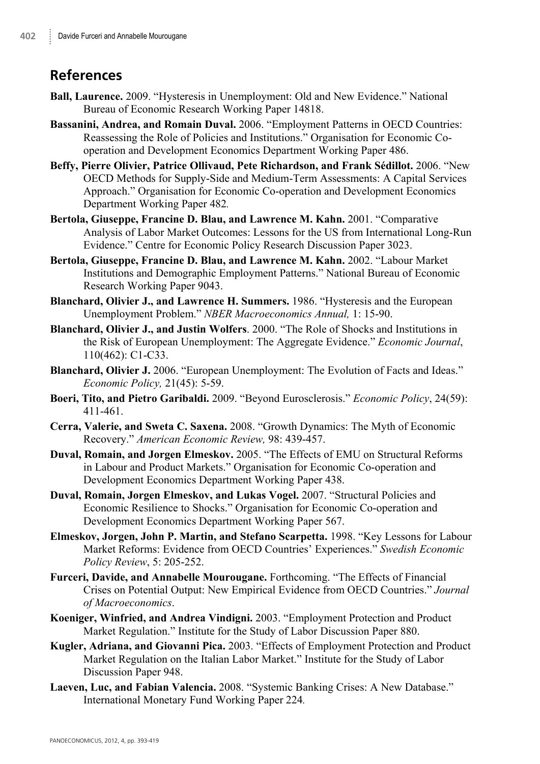### **References**

- **Ball, Laurence.** 2009. "Hysteresis in Unemployment: Old and New Evidence." National Bureau of Economic Research Working Paper 14818.
- **Bassanini, Andrea, and Romain Duval.** 2006. "Employment Patterns in OECD Countries: Reassessing the Role of Policies and Institutions." Organisation for Economic Cooperation and Development Economics Department Working Paper 486.
- **Beffy, Pierre Olivier, Patrice Ollivaud, Pete Richardson, and Frank Sédillot.** 2006. "New OECD Methods for Supply-Side and Medium-Term Assessments: A Capital Services Approach." Organisation for Economic Co-operation and Development Economics Department Working Paper 482*.*
- **Bertola, Giuseppe, Francine D. Blau, and Lawrence M. Kahn.** 2001. "Comparative Analysis of Labor Market Outcomes: Lessons for the US from International Long-Run Evidence." Centre for Economic Policy Research Discussion Paper 3023.
- **Bertola, Giuseppe, Francine D. Blau, and Lawrence M. Kahn.** 2002. "Labour Market Institutions and Demographic Employment Patterns." National Bureau of Economic Research Working Paper 9043.
- **Blanchard, Olivier J., and Lawrence H. Summers.** 1986. "Hysteresis and the European Unemployment Problem." *NBER Macroeconomics Annual,* 1: 15-90.
- **Blanchard, Olivier J., and Justin Wolfers**. 2000. "The Role of Shocks and Institutions in the Risk of European Unemployment: The Aggregate Evidence." *Economic Journal*, 110(462): C1-C33.
- **Blanchard, Olivier J.** 2006. "European Unemployment: The Evolution of Facts and Ideas." *Economic Policy,* 21(45): 5-59.
- **Boeri, Tito, and Pietro Garibaldi.** 2009. "Beyond Eurosclerosis." *Economic Policy*, 24(59): 411-461.
- **Cerra, Valerie, and Sweta C. Saxena.** 2008. "Growth Dynamics: The Myth of Economic Recovery." *American Economic Review,* 98: 439-457.
- **Duval, Romain, and Jorgen Elmeskov.** 2005. "The Effects of EMU on Structural Reforms in Labour and Product Markets." Organisation for Economic Co-operation and Development Economics Department Working Paper 438.
- **Duval, Romain, Jorgen Elmeskov, and Lukas Vogel.** 2007. "Structural Policies and Economic Resilience to Shocks." Organisation for Economic Co-operation and Development Economics Department Working Paper 567.
- **Elmeskov, Jorgen, John P. Martin, and Stefano Scarpetta.** 1998. "Key Lessons for Labour Market Reforms: Evidence from OECD Countries' Experiences." *Swedish Economic Policy Review*, 5: 205-252.
- **Furceri, Davide, and Annabelle Mourougane.** Forthcoming. "The Effects of Financial Crises on Potential Output: New Empirical Evidence from OECD Countries." *Journal of Macroeconomics*.
- **Koeniger, Winfried, and Andrea Vindigni.** 2003. "Employment Protection and Product Market Regulation." Institute for the Study of Labor Discussion Paper 880.
- **Kugler, Adriana, and Giovanni Pica.** 2003. "Effects of Employment Protection and Product Market Regulation on the Italian Labor Market." Institute for the Study of Labor Discussion Paper 948.
- **Laeven, Luc, and Fabian Valencia.** 2008. "Systemic Banking Crises: A New Database." International Monetary Fund Working Paper 224*.*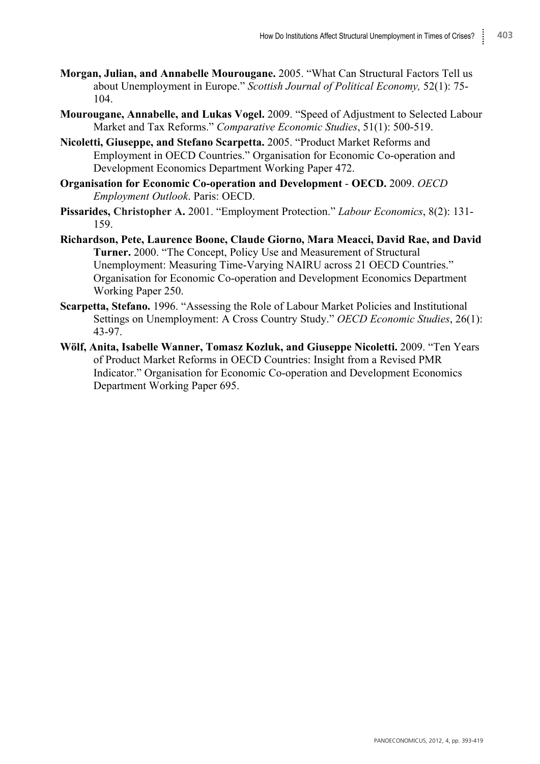- **Morgan, Julian, and Annabelle Mourougane.** 2005. "What Can Structural Factors Tell us about Unemployment in Europe." *Scottish Journal of Political Economy,* 52(1): 75- 104.
- **Mourougane, Annabelle, and Lukas Vogel.** 2009. "Speed of Adjustment to Selected Labour Market and Tax Reforms." *Comparative Economic Studies*, 51(1): 500-519.
- **Nicoletti, Giuseppe, and Stefano Scarpetta.** 2005. "Product Market Reforms and Employment in OECD Countries." Organisation for Economic Co-operation and Development Economics Department Working Paper 472.
- **Organisation for Economic Co-operation and Development OECD.** 2009. *OECD Employment Outlook*. Paris: OECD.
- **Pissarides, Christopher A.** 2001. "Employment Protection." *Labour Economics*, 8(2): 131- 159.
- **Richardson, Pete, Laurence Boone, Claude Giorno, Mara Meacci, David Rae, and David Turner.** 2000. "The Concept, Policy Use and Measurement of Structural Unemployment: Measuring Time-Varying NAIRU across 21 OECD Countries." Organisation for Economic Co-operation and Development Economics Department Working Paper 250.
- **Scarpetta, Stefano.** 1996. "Assessing the Role of Labour Market Policies and Institutional Settings on Unemployment: A Cross Country Study." *OECD Economic Studies*, 26(1): 43-97.
- **Wölf, Anita, Isabelle Wanner, Tomasz Kozluk, and Giuseppe Nicoletti.** 2009. "Ten Years of Product Market Reforms in OECD Countries: Insight from a Revised PMR Indicator." Organisation for Economic Co-operation and Development Economics Department Working Paper 695.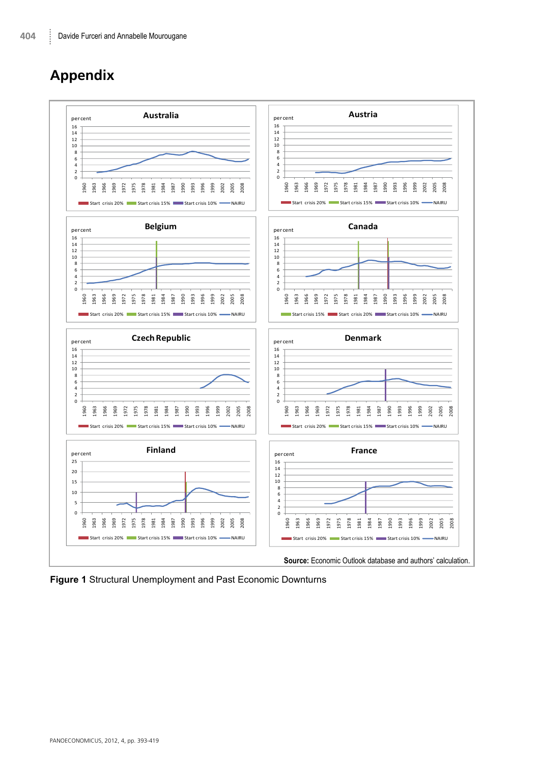## **Appendix**



**Figure 1** Structural Unemployment and Past Economic Downturns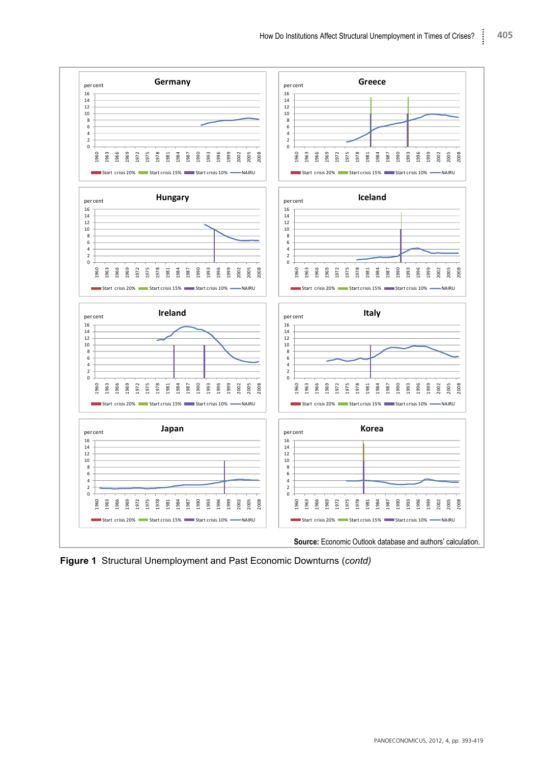

**Figure 1** Structural Unemployment and Past Economic Downturns (*contd)*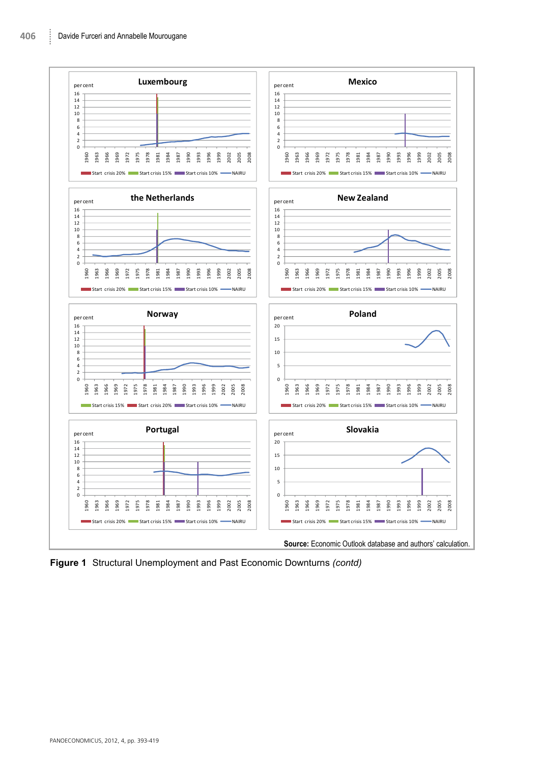

**Figure 1** Structural Unemployment and Past Economic Downturns *(contd)*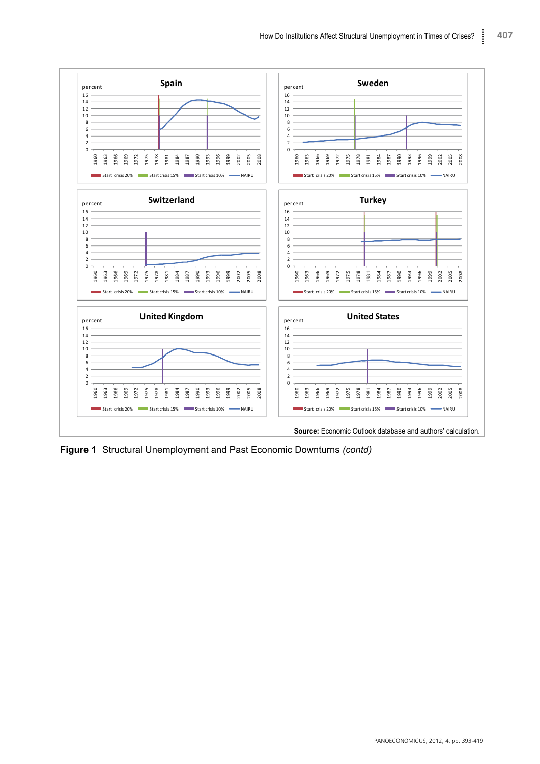

**Figure 1** Structural Unemployment and Past Economic Downturns *(contd)*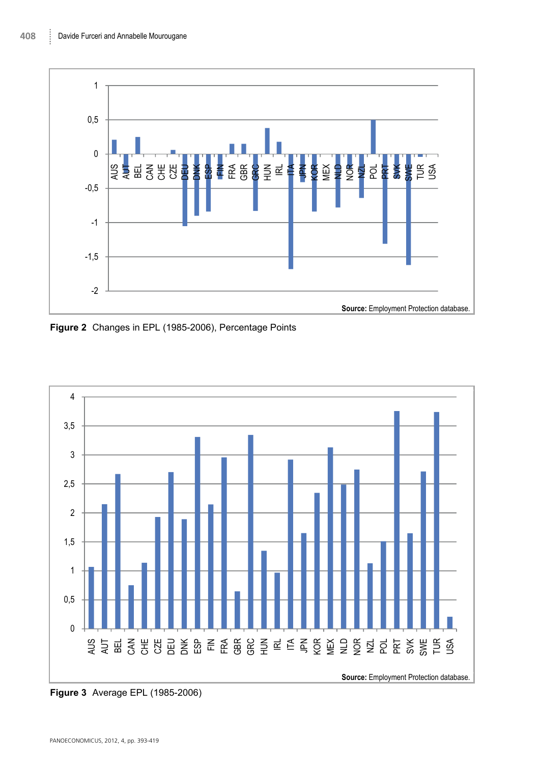

**Figure 2** Changes in EPL (1985-2006), Percentage Points



**Figure 3** Average EPL (1985-2006)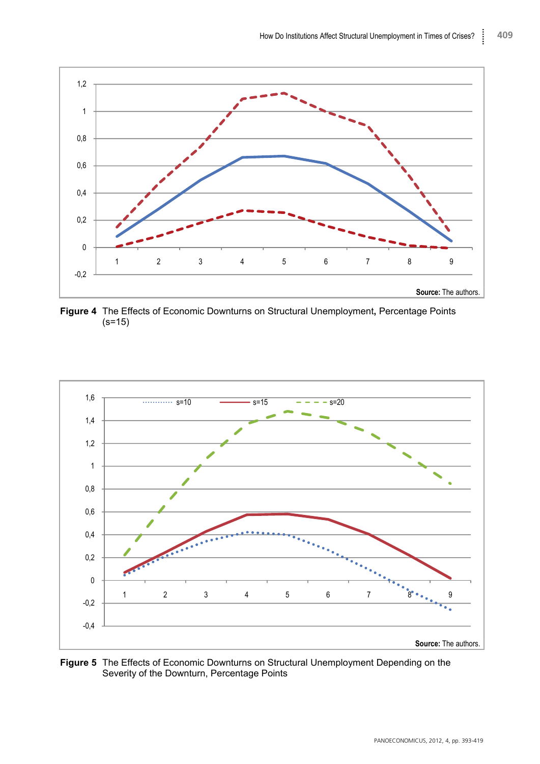

**Figure 4** The Effects of Economic Downturns on Structural Unemployment**,** Percentage Points  $(s=15)$ 



**Figure 5** The Effects of Economic Downturns on Structural Unemployment Depending on the Severity of the Downturn, Percentage Points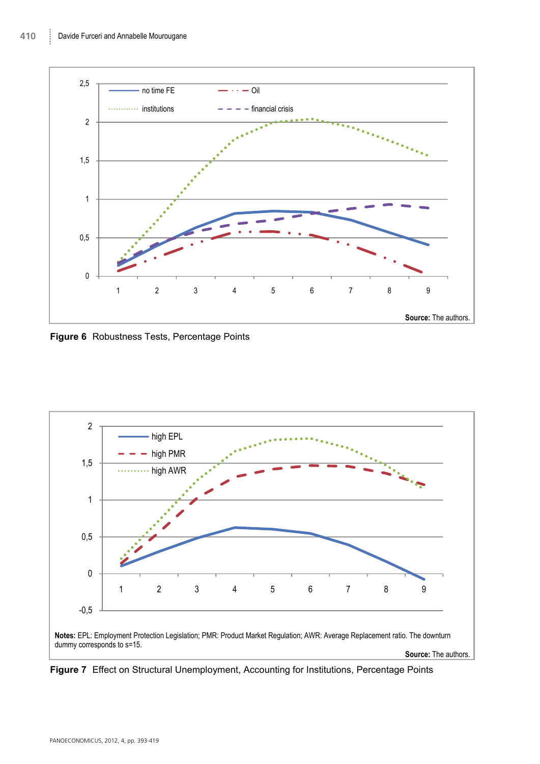

**Figure 6** Robustness Tests, Percentage Points



**Figure 7** Effect on Structural Unemployment, Accounting for Institutions, Percentage Points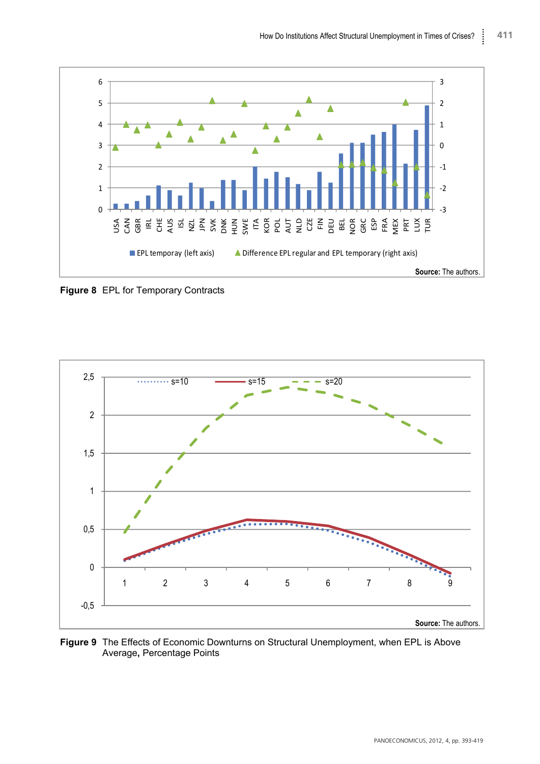

**Figure 8** EPL for Temporary Contracts



**Figure 9** The Effects of Economic Downturns on Structural Unemployment, when EPL is Above Average**,** Percentage Points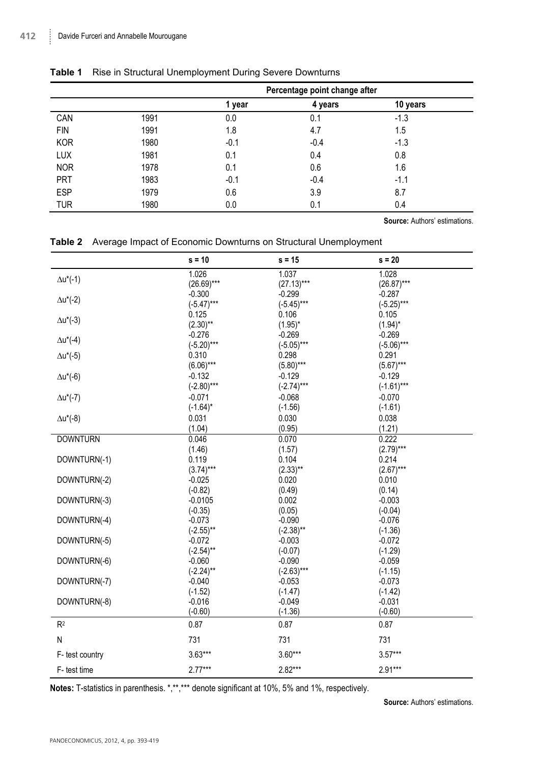|            |      | Percentage point change after |         |          |  |  |
|------------|------|-------------------------------|---------|----------|--|--|
|            |      | 1 year                        | 4 years | 10 years |  |  |
| CAN        | 1991 | 0.0                           | 0.1     | $-1.3$   |  |  |
| <b>FIN</b> | 1991 | 1.8                           | 4.7     | 1.5      |  |  |
| <b>KOR</b> | 1980 | $-0.1$                        | $-0.4$  | $-1.3$   |  |  |
| <b>LUX</b> | 1981 | 0.1                           | 0.4     | 0.8      |  |  |
| <b>NOR</b> | 1978 | 0.1                           | 0.6     | 1.6      |  |  |
| <b>PRT</b> | 1983 | $-0.1$                        | $-0.4$  | $-1.1$   |  |  |
| <b>ESP</b> | 1979 | 0.6                           | 3.9     | 8.7      |  |  |
| <b>TUR</b> | 1980 | 0.0                           | 0.1     | 0.4      |  |  |

#### **Table 1** Rise in Structural Unemployment During Severe Downturns

**Source:** Authors' estimations.

#### **Table 2** Average Impact of Economic Downturns on Structural Unemployment

|                   | $s = 10$      | $s = 15$     | $s = 20$      |
|-------------------|---------------|--------------|---------------|
|                   | 1.026         | 1.037        | 1.028         |
| $\Delta u^*$ (-1) | $(26.69)***$  | $(27.13)***$ | $(26.87)$ *** |
| $\Delta u^*(-2)$  | $-0.300$      | $-0.299$     | $-0.287$      |
|                   | $(-5.47)$ *** | $(-5.45)***$ | $(-5.25)***$  |
| $\Delta u^*(-3)$  | 0.125         | 0.106        | 0.105         |
|                   | $(2.30)$ **   | $(1.95)^*$   | $(1.94)^*$    |
| $\Delta u^*$ (-4) | $-0.276$      | $-0.269$     | $-0.269$      |
|                   | $(-5.20)$ *** | $(-5.05)***$ | $(-5.06)$ *** |
| $\Delta u^*(-5)$  | 0.310         | 0.298        | 0.291         |
|                   | $(6.06)***$   | $(5.80)$ *** | $(5.67)$ ***  |
| $\Delta u^*(-6)$  | $-0.132$      | $-0.129$     | $-0.129$      |
|                   | $(-2.80)$ *** | $(-2.74)***$ | $(-1.61)***$  |
| $\Delta u^*(-7)$  | $-0.071$      | $-0.068$     | $-0.070$      |
|                   | $(-1.64)^*$   | $(-1.56)$    | $(-1.61)$     |
| $\Delta u^*$ (-8) | 0.031         | 0.030        | 0.038         |
|                   | (1.04)        | (0.95)       | (1.21)        |
| <b>DOWNTURN</b>   | 0.046         | 0.070        | 0.222         |
|                   | (1.46)        | (1.57)       | $(2.79)***$   |
| DOWNTURN(-1)      | 0.119         | 0.104        | 0.214         |
|                   | $(3.74)***$   | $(2.33)$ **  | $(2.67)***$   |
| DOWNTURN(-2)      | $-0.025$      | 0.020        | 0.010         |
|                   | $(-0.82)$     | (0.49)       | (0.14)        |
| DOWNTURN(-3)      | $-0.0105$     | 0.002        | $-0.003$      |
|                   | $(-0.35)$     | (0.05)       | $(-0.04)$     |
| DOWNTURN(-4)      | $-0.073$      | $-0.090$     | $-0.076$      |
|                   | $(-2.55)$ **  | $(-2.38)$ ** | $(-1.36)$     |
| DOWNTURN(-5)      | $-0.072$      | $-0.003$     | $-0.072$      |
|                   | $(-2.54)$ **  | $(-0.07)$    | $(-1.29)$     |
| DOWNTURN(-6)      | $-0.060$      | $-0.090$     | $-0.059$      |
|                   | $(-2.24)$ **  | $(-2.63)***$ | $(-1.15)$     |
| DOWNTURN(-7)      | $-0.040$      | $-0.053$     | $-0.073$      |
|                   | $(-1.52)$     | $(-1.47)$    | $(-1.42)$     |
| DOWNTURN(-8)      | $-0.016$      | $-0.049$     | $-0.031$      |
|                   | $(-0.60)$     | $(-1.36)$    | $(-0.60)$     |
| R <sup>2</sup>    | 0.87          | 0.87         | 0.87          |
| N                 | 731           | 731          | 731           |
| F- test country   | $3.63***$     | $3.60***$    | $3.57***$     |
| F- test time      | $2.77***$     | $2.82***$    | $2.91***$     |

**Notes:** T-statistics in parenthesis. \*,\*\*,\*\*\* denote significant at 10%, 5% and 1%, respectively.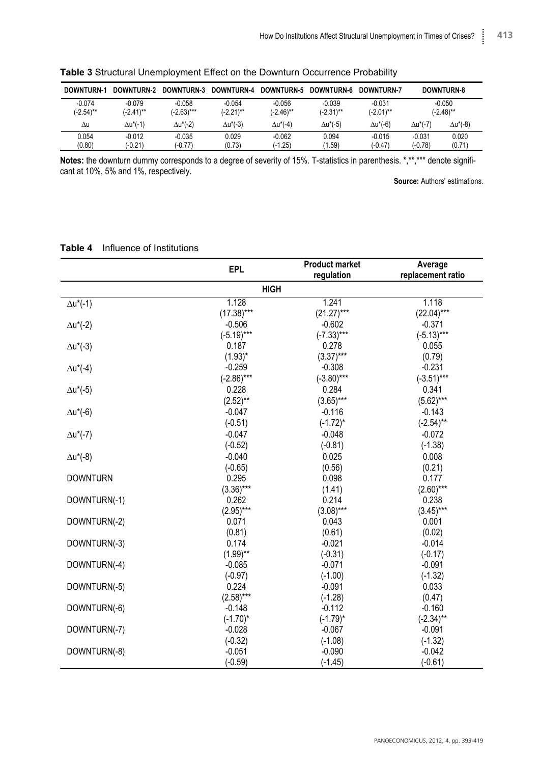| DOWNTURN-1               | DOWNTURN-2               | <b>DOWNTURN-3</b>        | <b>DOWNTURN-4</b>     | <b>DOWNTURN-5</b>        | <b>DOWNTURN-6</b>        | DOWNTURN-7               |           | <b>DOWNTURN-8</b>        |
|--------------------------|--------------------------|--------------------------|-----------------------|--------------------------|--------------------------|--------------------------|-----------|--------------------------|
| $-0.074$<br>$(-2.54)$ ** | $-0.079$<br>$(-2.41)$ ** | $-0.058$<br>$(-2.63)***$ | $-0.054$<br>(-2.21)** | $-0.056$<br>$(-2.46)$ ** | $-0.039$<br>$(-2.31)$ ** | $-0.031$<br>$(-2.01)$ ** |           | $-0.050$<br>$(-2.48)$ ** |
| Δu                       | ∆u*(-1)                  | ∆u*(-2)                  | $\Delta u^*(-3)$      | ∆u*(-4)                  | $\Delta u^* (-5)$        | $\Delta u^*$ (-6)        | ∆u*(-7)   | $\Delta u^* (-8)$        |
| 0.054                    | $-0.012$                 | $-0.035$                 | 0.029                 | $-0.062$                 | 0.094                    | $-0.015$                 | $-0.031$  | 0.020                    |
| (0.80)                   | $(-0.21)$                | $(-0.77)$                | (0.73)                | $(-1.25)$                | (1.59)                   | $(-0.47)$                | $(-0.78)$ | (0.71)                   |

**Table 3** Structural Unemployment Effect on the Downturn Occurrence Probability

**Notes:** the downturn dummy corresponds to a degree of severity of 15%. T-statistics in parenthesis. \*,\*\*,\*\*\* denote significant at 10%, 5% and 1%, respectively.

**Source:** Authors' estimations.

#### **Table 4** Influence of Institutions

|                   | <b>EPL</b>   | <b>Product market</b> | Average           |  |  |  |  |
|-------------------|--------------|-----------------------|-------------------|--|--|--|--|
|                   |              | regulation            | replacement ratio |  |  |  |  |
| <b>HIGH</b>       |              |                       |                   |  |  |  |  |
| $\Delta u^*(-1)$  | 1.128        | 1.241                 | 1.118             |  |  |  |  |
|                   | $(17.38)***$ | $(21.27)***$          | $(22.04)***$      |  |  |  |  |
| $\Delta u^*$ (-2) | $-0.506$     | $-0.602$              | $-0.371$          |  |  |  |  |
|                   | $(-5.19)***$ | $(-7.33)***$          | $(-5.13)***$      |  |  |  |  |
| $\Delta u^*(-3)$  | 0.187        | 0.278                 | 0.055             |  |  |  |  |
|                   | $(1.93)^*$   | $(3.37)***$           | (0.79)            |  |  |  |  |
| $\Delta u^*$ (-4) | $-0.259$     | $-0.308$              | $-0.231$          |  |  |  |  |
|                   | $(-2.86)***$ | $(-3.80)$ ***         | $(-3.51)$ ***     |  |  |  |  |
| $\Delta u^*(-5)$  | 0.228        | 0.284                 | 0.341             |  |  |  |  |
|                   | $(2.52)$ **  | $(3.65)***$           | $(5.62)***$       |  |  |  |  |
| $\Delta u^*(-6)$  | $-0.047$     | $-0.116$              | $-0.143$          |  |  |  |  |
|                   | $(-0.51)$    | $(-1.72)^*$           | $(-2.54)$ **      |  |  |  |  |
| $\Delta u^*(-7)$  | $-0.047$     | $-0.048$              | $-0.072$          |  |  |  |  |
|                   | $(-0.52)$    | $(-0.81)$             | $(-1.38)$         |  |  |  |  |
| $\Delta u^*$ (-8) | $-0.040$     | 0.025                 | 0.008             |  |  |  |  |
|                   | $(-0.65)$    | (0.56)                | (0.21)            |  |  |  |  |
| <b>DOWNTURN</b>   | 0.295        | 0.098                 | 0.177             |  |  |  |  |
|                   | $(3.36)***$  | (1.41)                | $(2.60)$ ***      |  |  |  |  |
| DOWNTURN(-1)      | 0.262        | 0.214                 | 0.238             |  |  |  |  |
|                   | $(2.95)***$  | $(3.08)***$           | $(3.45)***$       |  |  |  |  |
| DOWNTURN(-2)      | 0.071        | 0.043                 | 0.001             |  |  |  |  |
|                   | (0.81)       | (0.61)                | (0.02)            |  |  |  |  |
| DOWNTURN(-3)      | 0.174        | $-0.021$              | $-0.014$          |  |  |  |  |
|                   | $(1.99)$ **  | $(-0.31)$             | $(-0.17)$         |  |  |  |  |
| DOWNTURN(-4)      | $-0.085$     | $-0.071$              | $-0.091$          |  |  |  |  |
|                   | $(-0.97)$    | $(-1.00)$             | $(-1.32)$         |  |  |  |  |
| DOWNTURN(-5)      | 0.224        | $-0.091$              | 0.033             |  |  |  |  |
|                   | $(2.58)***$  | $(-1.28)$             | (0.47)            |  |  |  |  |
| DOWNTURN(-6)      | $-0.148$     | $-0.112$              | $-0.160$          |  |  |  |  |
|                   | $(-1.70)^*$  | $(-1.79)^*$           | $(-2.34)$ **      |  |  |  |  |
| DOWNTURN(-7)      | $-0.028$     | $-0.067$              | $-0.091$          |  |  |  |  |
|                   | $(-0.32)$    | $(-1.08)$             | $(-1.32)$         |  |  |  |  |
| DOWNTURN(-8)      | $-0.051$     | $-0.090$              | $-0.042$          |  |  |  |  |
|                   | $(-0.59)$    | $(-1.45)$             | $(-0.61)$         |  |  |  |  |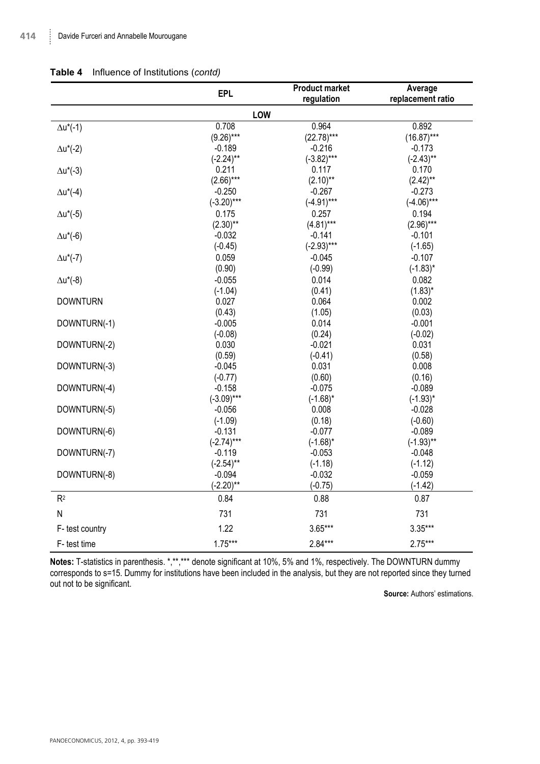|                   | <b>EPL</b>               | <b>Product market</b><br>regulation | Average<br>replacement ratio |  |  |  |  |
|-------------------|--------------------------|-------------------------------------|------------------------------|--|--|--|--|
| LOW               |                          |                                     |                              |  |  |  |  |
| $\Delta u^*$ (-1) | 0.708                    | 0.964                               | 0.892                        |  |  |  |  |
|                   | $(9.26)***$              | $(22.78)***$                        | $(16.87)***$                 |  |  |  |  |
| $\Delta u^*(-2)$  | $-0.189$                 | $-0.216$                            | $-0.173$                     |  |  |  |  |
|                   | $(-2.24)$ **             | $(-3.82)***$                        | $(-2.43)$ **                 |  |  |  |  |
| $\Delta u^*$ (-3) | 0.211                    | 0.117                               | 0.170                        |  |  |  |  |
|                   | $(2.66)***$              | $(2.10)$ **                         | $(2.42)$ **                  |  |  |  |  |
| $\Delta u^*$ (-4) | $-0.250$                 | $-0.267$                            | $-0.273$                     |  |  |  |  |
|                   | $(-3.20)***$             | $(-4.91)***$                        | $(-4.06)$ ***                |  |  |  |  |
| $\Delta u^*(-5)$  | 0.175                    | 0.257                               | 0.194                        |  |  |  |  |
|                   | $(2.30)$ **              | $(4.81)***$                         | $(2.96)***$                  |  |  |  |  |
| $\Delta u^*(-6)$  | $-0.032$                 | $-0.141$                            | $-0.101$                     |  |  |  |  |
|                   | $(-0.45)$                | $(-2.93)***$                        | $(-1.65)$                    |  |  |  |  |
| $\Delta u^*(-7)$  | 0.059                    | $-0.045$                            | $-0.107$                     |  |  |  |  |
|                   | (0.90)                   | $(-0.99)$                           | $(-1.83)^*$                  |  |  |  |  |
| $\Delta u^*$ (-8) | $-0.055$                 | 0.014                               | 0.082                        |  |  |  |  |
|                   | $(-1.04)$                | (0.41)                              | $(1.83)^*$                   |  |  |  |  |
| <b>DOWNTURN</b>   | 0.027                    | 0.064                               | 0.002                        |  |  |  |  |
|                   | (0.43)                   | (1.05)                              | (0.03)                       |  |  |  |  |
| DOWNTURN(-1)      | $-0.005$                 | 0.014                               | $-0.001$                     |  |  |  |  |
|                   | $(-0.08)$                | (0.24)                              | $(-0.02)$                    |  |  |  |  |
| DOWNTURN(-2)      | 0.030                    | $-0.021$                            | 0.031                        |  |  |  |  |
|                   | (0.59)                   | $(-0.41)$                           | (0.58)                       |  |  |  |  |
| DOWNTURN(-3)      | $-0.045$                 | 0.031                               | 0.008                        |  |  |  |  |
|                   | $(-0.77)$                | (0.60)                              | (0.16)                       |  |  |  |  |
| DOWNTURN(-4)      | $-0.158$                 | $-0.075$                            | $-0.089$                     |  |  |  |  |
|                   | $(-3.09)***$             | $(-1.68)^*$                         | $(-1.93)^*$                  |  |  |  |  |
| DOWNTURN(-5)      | $-0.056$                 | 0.008                               | $-0.028$                     |  |  |  |  |
|                   | $(-1.09)$                | (0.18)                              | $(-0.60)$                    |  |  |  |  |
| DOWNTURN(-6)      | $-0.131$                 | $-0.077$                            | $-0.089$                     |  |  |  |  |
|                   | $(-2.74)***$<br>$-0.119$ | $(-1.68)^*$                         | $(-1.93)$ **                 |  |  |  |  |
| DOWNTURN(-7)      |                          | $-0.053$                            | $-0.048$                     |  |  |  |  |
| DOWNTURN(-8)      | $(-2.54)$ **<br>$-0.094$ | $(-1.18)$<br>$-0.032$               | $(-1.12)$<br>$-0.059$        |  |  |  |  |
|                   | $(-2.20)$ **             | $(-0.75)$                           | $(-1.42)$                    |  |  |  |  |
| R <sup>2</sup>    | 0.84                     | 0.88                                | 0.87                         |  |  |  |  |
| N                 | 731                      | 731                                 | 731                          |  |  |  |  |
|                   |                          |                                     |                              |  |  |  |  |
| F- test country   | 1.22                     | $3.65***$                           | $3.35***$                    |  |  |  |  |
| F- test time      | $1.75***$                | $2.84***$                           | $2.75***$                    |  |  |  |  |

#### **Table 4** Influence of Institutions (*contd)*

**Notes:** T-statistics in parenthesis. \*,\*\*,\*\*\* denote significant at 10%, 5% and 1%, respectively. The DOWNTURN dummy corresponds to s=15. Dummy for institutions have been included in the analysis, but they are not reported since they turned out not to be significant.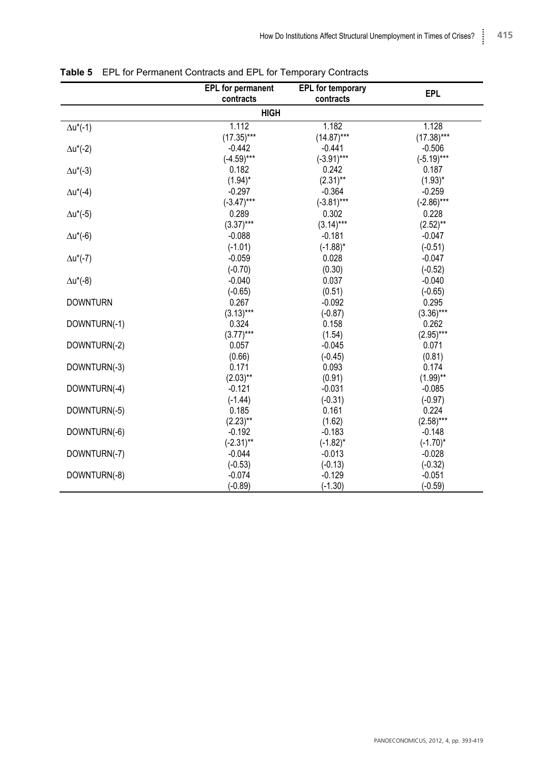|                   | <b>EPL</b> for permanent | EPL for temporary | <b>EPL</b>   |  |  |  |
|-------------------|--------------------------|-------------------|--------------|--|--|--|
|                   | contracts                | contracts         |              |  |  |  |
| <b>HIGH</b>       |                          |                   |              |  |  |  |
| $\Delta u^*(-1)$  | 1.112                    | 1.182             | 1.128        |  |  |  |
|                   | $(17.35)***$             | $(14.87)***$      | $(17.38)***$ |  |  |  |
| $\Delta u^*(-2)$  | $-0.442$                 | $-0.441$          | $-0.506$     |  |  |  |
|                   | $(-4.59)***$             | $(-3.91)***$      | $(-5.19)***$ |  |  |  |
| $\Delta u^*$ (-3) | 0.182                    | 0.242             | 0.187        |  |  |  |
|                   | $(1.94)^*$               | $(2.31)$ **       | $(1.93)^*$   |  |  |  |
| $\Delta u^*$ (-4) | $-0.297$                 | $-0.364$          | $-0.259$     |  |  |  |
|                   | $(-3.47)***$             | $(-3.81)***$      | $(-2.86)***$ |  |  |  |
| $\Delta u^*(-5)$  | 0.289                    | 0.302             | 0.228        |  |  |  |
|                   | $(3.37)***$              | $(3.14)***$       | $(2.52)$ **  |  |  |  |
| $\Delta u^*(-6)$  | $-0.088$                 | $-0.181$          | $-0.047$     |  |  |  |
|                   | $(-1.01)$                | $(-1.88)^*$       | $(-0.51)$    |  |  |  |
| $\Delta u^*(-7)$  | $-0.059$                 | 0.028             | $-0.047$     |  |  |  |
|                   | $(-0.70)$                | (0.30)            | $(-0.52)$    |  |  |  |
| $\Delta u^*$ (-8) | $-0.040$                 | 0.037             | $-0.040$     |  |  |  |
|                   | $(-0.65)$                | (0.51)            | $(-0.65)$    |  |  |  |
| <b>DOWNTURN</b>   | 0.267                    | $-0.092$          | 0.295        |  |  |  |
|                   | $(3.13)***$              | $(-0.87)$         | $(3.36)***$  |  |  |  |
| DOWNTURN(-1)      | 0.324                    | 0.158             | 0.262        |  |  |  |
|                   | $(3.77)***$              | (1.54)            | $(2.95)***$  |  |  |  |
| DOWNTURN(-2)      | 0.057                    | $-0.045$          | 0.071        |  |  |  |
|                   | (0.66)                   | $(-0.45)$         | (0.81)       |  |  |  |
| DOWNTURN(-3)      | 0.171                    | 0.093             | 0.174        |  |  |  |
|                   | $(2.03)$ **              | (0.91)            | $(1.99)$ **  |  |  |  |
| DOWNTURN(-4)      | $-0.121$                 | $-0.031$          | $-0.085$     |  |  |  |
|                   | $(-1.44)$                | $(-0.31)$         | $(-0.97)$    |  |  |  |
| DOWNTURN(-5)      | 0.185                    | 0.161             | 0.224        |  |  |  |
|                   | $(2.23)$ **              | (1.62)            | $(2.58)***$  |  |  |  |
| DOWNTURN(-6)      | $-0.192$                 | $-0.183$          | $-0.148$     |  |  |  |
|                   | $(-2.31)$ **             | $(-1.82)^*$       | $(-1.70)^*$  |  |  |  |
| DOWNTURN(-7)      | $-0.044$                 | $-0.013$          | $-0.028$     |  |  |  |
|                   | $(-0.53)$                | $(-0.13)$         | $(-0.32)$    |  |  |  |
| DOWNTURN(-8)      | $-0.074$                 | $-0.129$          | $-0.051$     |  |  |  |
|                   | $(-0.89)$                | $(-1.30)$         | $(-0.59)$    |  |  |  |

|  | <b>Table 5</b> EPL for Permanent Contracts and EPL for Temporary Contracts |  |
|--|----------------------------------------------------------------------------|--|
|--|----------------------------------------------------------------------------|--|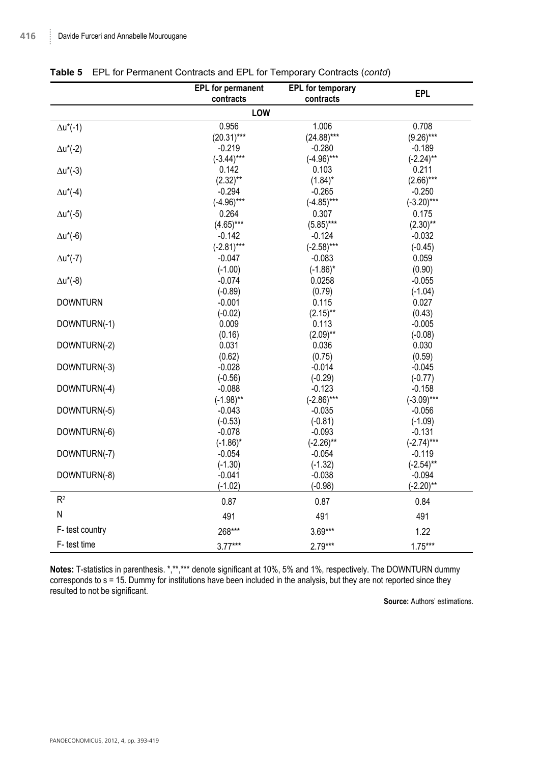|                   | <b>EPL</b> for permanent | EPL for temporary | <b>EPL</b>    |  |  |  |
|-------------------|--------------------------|-------------------|---------------|--|--|--|
|                   | contracts                | contracts         |               |  |  |  |
| LOW               |                          |                   |               |  |  |  |
| $\Delta u^*$ (-1) | 0.956                    | 1.006             | 0.708         |  |  |  |
|                   | $(20.31)***$             | $(24.88)***$      | $(9.26)***$   |  |  |  |
| $\Delta u^*(-2)$  | $-0.219$                 | $-0.280$          | $-0.189$      |  |  |  |
|                   | $(-3.44)***$             | $(-4.96)$ ***     | $(-2.24)$ **  |  |  |  |
| $\Delta u^*$ (-3) | 0.142                    | 0.103             | 0.211         |  |  |  |
|                   | $(2.32)$ **              | $(1.84)^*$        | $(2.66)***$   |  |  |  |
| $\Delta u^*(-4)$  | $-0.294$                 | $-0.265$          | $-0.250$      |  |  |  |
|                   | $(-4.96)$ ***            | $(-4.85)***$      | $(-3.20)$ *** |  |  |  |
| $\Delta u^*(-5)$  | 0.264                    | 0.307             | 0.175         |  |  |  |
|                   | $(4.65)***$              | $(5.85)***$       | $(2.30)$ **   |  |  |  |
| $\Delta u^*(-6)$  | $-0.142$                 | $-0.124$          | $-0.032$      |  |  |  |
|                   | $(-2.81)***$             | $(-2.58)***$      | $(-0.45)$     |  |  |  |
| $\Delta u^*$ (-7) | $-0.047$                 | $-0.083$          | 0.059         |  |  |  |
|                   | $(-1.00)$                | $(-1.86)^*$       | (0.90)        |  |  |  |
| $\Delta u^*$ (-8) | $-0.074$                 | 0.0258            | $-0.055$      |  |  |  |
|                   | $(-0.89)$                | (0.79)            | $(-1.04)$     |  |  |  |
| <b>DOWNTURN</b>   | $-0.001$                 | 0.115             | 0.027         |  |  |  |
|                   | $(-0.02)$                | $(2.15)$ **       | (0.43)        |  |  |  |
| DOWNTURN(-1)      | 0.009                    | 0.113             | $-0.005$      |  |  |  |
|                   | (0.16)                   | $(2.09)$ **       | $(-0.08)$     |  |  |  |
| DOWNTURN(-2)      | 0.031                    | 0.036             | 0.030         |  |  |  |
|                   | (0.62)                   | (0.75)            | (0.59)        |  |  |  |
| DOWNTURN(-3)      | $-0.028$                 | $-0.014$          | $-0.045$      |  |  |  |
|                   | $(-0.56)$                | $(-0.29)$         | $(-0.77)$     |  |  |  |
| DOWNTURN(-4)      | $-0.088$                 | $-0.123$          | $-0.158$      |  |  |  |
|                   | $(-1.98)$ **             | $(-2.86)***$      | $(-3.09)***$  |  |  |  |
| DOWNTURN(-5)      | $-0.043$                 | $-0.035$          | $-0.056$      |  |  |  |
|                   | $(-0.53)$                | $(-0.81)$         | $(-1.09)$     |  |  |  |
| DOWNTURN(-6)      | $-0.078$                 | $-0.093$          | $-0.131$      |  |  |  |
|                   | $(-1.86)^*$              | $(-2.26)$ **      | $(-2.74)***$  |  |  |  |
| DOWNTURN(-7)      | $-0.054$                 | $-0.054$          | $-0.119$      |  |  |  |
|                   | $(-1.30)$                | $(-1.32)$         | $(-2.54)$ **  |  |  |  |
| DOWNTURN(-8)      | $-0.041$                 | $-0.038$          | $-0.094$      |  |  |  |
|                   | $(-1.02)$                | $(-0.98)$         | $(-2.20)$ **  |  |  |  |
| R <sup>2</sup>    | 0.87                     | 0.87              | 0.84          |  |  |  |
| N                 | 491                      | 491               | 491           |  |  |  |
| F- test country   | 268***                   | $3.69***$         | 1.22          |  |  |  |
| F- test time      | $3.77***$                | $2.79***$         | $1.75***$     |  |  |  |

#### **Table 5** EPL for Permanent Contracts and EPL for Temporary Contracts (*contd*)

**Notes:** T-statistics in parenthesis. \*,\*\*,\*\*\* denote significant at 10%, 5% and 1%, respectively. The DOWNTURN dummy corresponds to s = 15. Dummy for institutions have been included in the analysis, but they are not reported since they resulted to not be significant.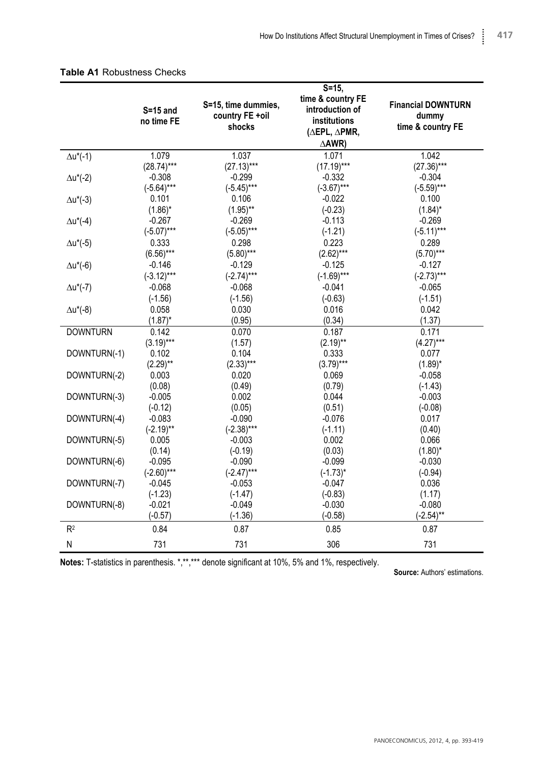|                   | $S = 15$ and<br>no time FE | S=15, time dummies,<br>country FE +oil<br>shocks | $S = 15$<br>time & country FE<br>introduction of<br>institutions<br>$(\triangle EPL, \triangle PMR,$<br>∆AWR) | <b>Financial DOWNTURN</b><br>dummy<br>time & country FE |
|-------------------|----------------------------|--------------------------------------------------|---------------------------------------------------------------------------------------------------------------|---------------------------------------------------------|
| $\Delta u^*(-1)$  | 1.079                      | 1.037                                            | 1.071                                                                                                         | 1.042                                                   |
|                   | $(28.74)***$               | $(27.13)***$                                     | $(17.19)***$                                                                                                  | $(27.36)***$                                            |
| $\Delta u^*(-2)$  | $-0.308$                   | $-0.299$                                         | $-0.332$                                                                                                      | $-0.304$                                                |
|                   | $(-5.64)***$               | $(-5.45)***$                                     | $(-3.67)***$                                                                                                  | $(-5.59)***$                                            |
| $\Delta u^*(-3)$  | 0.101                      | 0.106                                            | $-0.022$                                                                                                      | 0.100                                                   |
|                   | $(1.86)^*$                 | $(1.95)$ **                                      | $(-0.23)$                                                                                                     | $(1.84)^*$                                              |
| $\Delta u^*(-4)$  | $-0.267$                   | $-0.269$                                         | $-0.113$                                                                                                      | $-0.269$                                                |
|                   | $(-5.07)***$               | $(-5.05)***$                                     | $(-1.21)$                                                                                                     | $(-5.11)***$                                            |
| $\Delta u^*(-5)$  | 0.333                      | 0.298                                            | 0.223                                                                                                         | 0.289                                                   |
|                   | $(6.56)***$                | $(5.80)***$                                      | $(2.62)***$                                                                                                   | $(5.70***$                                              |
| $\Delta u^*(-6)$  | $-0.146$                   | $-0.129$                                         | $-0.125$                                                                                                      | $-0.127$                                                |
|                   | $(-3.12)***$               | $(-2.74)***$                                     | $(-1.69)***$                                                                                                  | $(-2.73)***$                                            |
| $\Delta u^*(-7)$  | $-0.068$                   | $-0.068$                                         | $-0.041$                                                                                                      | $-0.065$                                                |
|                   | $(-1.56)$                  | $(-1.56)$                                        | $(-0.63)$                                                                                                     | $(-1.51)$                                               |
| $\Delta u^*$ (-8) | 0.058                      | 0.030                                            | 0.016                                                                                                         | 0.042                                                   |
|                   | $(1.87)^*$                 | (0.95)                                           | (0.34)                                                                                                        | (1.37)                                                  |
| <b>DOWNTURN</b>   | 0.142                      | 0.070                                            | 0.187                                                                                                         | 0.171                                                   |
|                   | $(3.19)***$                | (1.57)                                           | $(2.19)$ **                                                                                                   | $(4.27)***$                                             |
| DOWNTURN(-1)      | 0.102                      | 0.104                                            | 0.333                                                                                                         | 0.077                                                   |
|                   | $(2.29)$ **                | $(2.33)***$                                      | $(3.79)***$                                                                                                   | $(1.89)^*$                                              |
| DOWNTURN(-2)      | 0.003                      | 0.020                                            | 0.069                                                                                                         | $-0.058$                                                |
|                   | (0.08)                     | (0.49)                                           | (0.79)                                                                                                        | $(-1.43)$                                               |
| DOWNTURN(-3)      | $-0.005$                   | 0.002                                            | 0.044                                                                                                         | $-0.003$                                                |
|                   | $(-0.12)$                  | (0.05)                                           | (0.51)                                                                                                        | $(-0.08)$                                               |
| DOWNTURN(-4)      | $-0.083$                   | $-0.090$                                         | $-0.076$                                                                                                      | 0.017                                                   |
|                   | $(-2.19)$ **               | $(-2.38)***$                                     | $(-1.11)$                                                                                                     | (0.40)                                                  |
| DOWNTURN(-5)      | 0.005                      | $-0.003$                                         | 0.002                                                                                                         | 0.066                                                   |
|                   | (0.14)                     | $(-0.19)$                                        | (0.03)                                                                                                        | $(1.80)^*$                                              |
| DOWNTURN(-6)      | $-0.095$                   | $-0.090$                                         | $-0.099$                                                                                                      | $-0.030$                                                |
|                   | $(-2.60)$ ***              | $(-2.47***$                                      | $(-1.73)^*$                                                                                                   | $(-0.94)$                                               |
| DOWNTURN(-7)      | $-0.045$                   | $-0.053$                                         | $-0.047$                                                                                                      | 0.036                                                   |
|                   | $(-1.23)$                  | $(-1.47)$                                        | $(-0.83)$                                                                                                     | (1.17)                                                  |
| DOWNTURN(-8)      | $-0.021$                   | $-0.049$                                         | $-0.030$                                                                                                      | $-0.080$                                                |
|                   | $(-0.57)$                  | $(-1.36)$                                        | $(-0.58)$                                                                                                     | $(-2.54)$ **                                            |
| R <sup>2</sup>    | 0.84                       | 0.87                                             | 0.85                                                                                                          | 0.87                                                    |
| N                 | 731                        | 731                                              | 306                                                                                                           | 731                                                     |

### **Table A1** Robustness Checks

**Notes:** T-statistics in parenthesis. \*,\*\*,\*\*\* denote significant at 10%, 5% and 1%, respectively.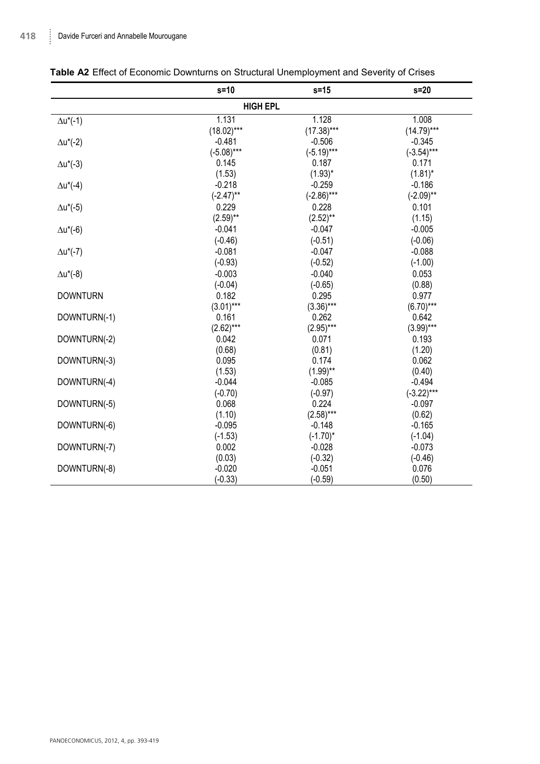|                   | $s=10$       | $s = 15$     | $s=20$       |  |  |  |
|-------------------|--------------|--------------|--------------|--|--|--|
| <b>HIGH EPL</b>   |              |              |              |  |  |  |
| $\Delta u^*(-1)$  | 1.131        | 1.128        | 1.008        |  |  |  |
|                   | $(18.02)***$ | $(17.38)***$ | $(14.79***$  |  |  |  |
| $\Delta u^*$ (-2) | $-0.481$     | $-0.506$     | $-0.345$     |  |  |  |
|                   | $(-5.08)***$ | $(-5.19)***$ | $(-3.54)***$ |  |  |  |
| $\Delta u^*(-3)$  | 0.145        | 0.187        | 0.171        |  |  |  |
|                   | (1.53)       | $(1.93)^*$   | $(1.81)^*$   |  |  |  |
| $\Delta u^*$ (-4) | $-0.218$     | $-0.259$     | $-0.186$     |  |  |  |
|                   | $(-2.47)$ ** | $(-2.86)***$ | $(-2.09)$ ** |  |  |  |
| $\Delta u^*(-5)$  | 0.229        | 0.228        | 0.101        |  |  |  |
|                   | $(2.59)$ **  | $(2.52)$ **  | (1.15)       |  |  |  |
| $\Delta u^*$ (-6) | $-0.041$     | $-0.047$     | $-0.005$     |  |  |  |
|                   | $(-0.46)$    | $(-0.51)$    | $(-0.06)$    |  |  |  |
| $\Delta u^*(-7)$  | $-0.081$     | $-0.047$     | $-0.088$     |  |  |  |
|                   | $(-0.93)$    | $(-0.52)$    | $(-1.00)$    |  |  |  |
| $\Delta u^*$ (-8) | $-0.003$     | $-0.040$     | 0.053        |  |  |  |
|                   | $(-0.04)$    | $(-0.65)$    | (0.88)       |  |  |  |
| <b>DOWNTURN</b>   | 0.182        | 0.295        | 0.977        |  |  |  |
|                   | $(3.01)***$  | $(3.36)***$  | $(6.70***$   |  |  |  |
| DOWNTURN(-1)      | 0.161        | 0.262        | 0.642        |  |  |  |
|                   | $(2.62)***$  | $(2.95)***$  | $(3.99)***$  |  |  |  |
| DOWNTURN(-2)      | 0.042        | 0.071        | 0.193        |  |  |  |
|                   | (0.68)       | (0.81)       | (1.20)       |  |  |  |
| DOWNTURN(-3)      | 0.095        | 0.174        | 0.062        |  |  |  |
|                   | (1.53)       | $(1.99)$ **  | (0.40)       |  |  |  |
| DOWNTURN(-4)      | $-0.044$     | $-0.085$     | $-0.494$     |  |  |  |
|                   | $(-0.70)$    | $(-0.97)$    | $(-3.22)***$ |  |  |  |
| DOWNTURN(-5)      | 0.068        | 0.224        | $-0.097$     |  |  |  |
|                   | (1.10)       | $(2.58)***$  | (0.62)       |  |  |  |
| DOWNTURN(-6)      | $-0.095$     | $-0.148$     | $-0.165$     |  |  |  |
|                   | $(-1.53)$    | $(-1.70)^*$  | $(-1.04)$    |  |  |  |
| DOWNTURN(-7)      | 0.002        | $-0.028$     | $-0.073$     |  |  |  |
|                   | (0.03)       | $(-0.32)$    | $(-0.46)$    |  |  |  |
| DOWNTURN(-8)      | $-0.020$     | $-0.051$     | 0.076        |  |  |  |
|                   | $(-0.33)$    | $(-0.59)$    | (0.50)       |  |  |  |